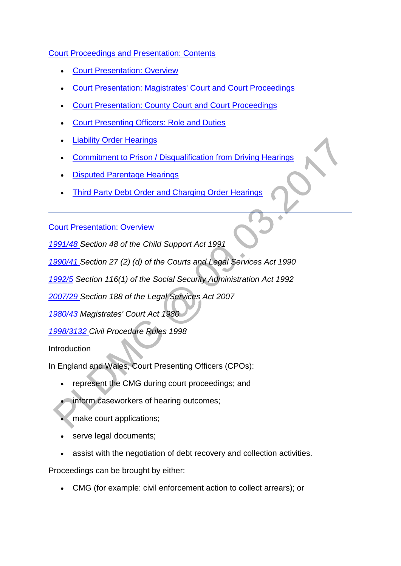### [Court Proceedings and Presentation: Contents](http://np-cmg-sharepoint.link2.gpn.gov.uk/sites/policy-law-and-decision-making-guidance/Pages/Legal%20Enforcement%20-%20England%20and%20Wales)

- [Court Presentation: Overview](http://np-cmg-sharepoint.link2.gpn.gov.uk/sites/policy-law-and-decision-making-guidance/Pages/Legal%20Enforcement%20-%20England%20and%20Wales/Court-Proceedings-and-Presentation.aspx#1)
- [Court Presentation: Magistrates' Court and Court Proceedings](http://np-cmg-sharepoint.link2.gpn.gov.uk/sites/policy-law-and-decision-making-guidance/Pages/Legal%20Enforcement%20-%20England%20and%20Wales/Court-Proceedings-and-Presentation.aspx#2)
- [Court Presentation: County Court and Court Proceedings](http://np-cmg-sharepoint.link2.gpn.gov.uk/sites/policy-law-and-decision-making-guidance/Pages/Legal%20Enforcement%20-%20England%20and%20Wales/Court-Proceedings-and-Presentation.aspx#County)
- [Court Presenting Officers: Role and Duties](http://np-cmg-sharepoint.link2.gpn.gov.uk/sites/policy-law-and-decision-making-guidance/Pages/Legal%20Enforcement%20-%20England%20and%20Wales/Court-Proceedings-and-Presentation.aspx#Role)
- [Liability Order Hearings](http://np-cmg-sharepoint.link2.gpn.gov.uk/sites/policy-law-and-decision-making-guidance/Pages/Legal%20Enforcement%20-%20England%20and%20Wales/Court-Proceedings-and-Presentation.aspx#Liability)
- [Commitment to Prison / Disqualification from Driving Hearings](http://np-cmg-sharepoint.link2.gpn.gov.uk/sites/policy-law-and-decision-making-guidance/Pages/Legal%20Enforcement%20-%20England%20and%20Wales/Court-Proceedings-and-Presentation.aspx#Commitment)
- [Disputed Parentage Hearings](http://np-cmg-sharepoint.link2.gpn.gov.uk/sites/policy-law-and-decision-making-guidance/Pages/Legal%20Enforcement%20-%20England%20and%20Wales/Court-Proceedings-and-Presentation.aspx#7)
- [Third Party Debt Order and Charging Order Hearings](http://np-cmg-sharepoint.link2.gpn.gov.uk/sites/policy-law-and-decision-making-guidance/Pages/Legal%20Enforcement%20-%20England%20and%20Wales/Court-Proceedings-and-Presentation.aspx#8)

[Court Presentation: Overview](http://np-cmg-sharepoint.link2.gpn.gov.uk/sites/policy-law-and-decision-making-guidance/Pages/Legal%20Enforcement%20-%20England%20and%20Wales/Court-Proceedings-and-Presentation.aspx)

*[1991/48 S](http://www.legislation.gov.uk/ukpga/1991/48)ection 48 of the Child Support Act 1991*

*[1990/41 S](http://www.legislation.gov.uk/ukpga/1990/41/contents)ection 27 (2) (d) of the Courts and Legal Services Act 1990*

*[1992/5](http://www.legislation.gov.uk/ukpga/1992/5) Section 116(1) of the Social Security Administration Act 1992*

*[2007/29 S](http://www.legislation.gov.uk/ukpga/2007/29/contents)ection 188 of the Legal Services Act 2007*

*[1980/43 M](http://www.legislation.gov.uk/ukpga/1980/43/contents)agistrates' Court Act 1980*

*[1998/3132 C](http://www.legislation.gov.uk/uksi/1998/3132/contents/made)ivil Procedure Rules 1998*

**Introduction** 

In England and Wales, Court Presenting Officers (CPOs):

- represent the CMG during court proceedings; and
- inform caseworkers of hearing outcomes;
- make court applications;
- serve legal documents;
- assist with the negotiation of debt recovery and collection activities.

Proceedings can be brought by either:

CMG (for example: civil enforcement action to collect arrears); or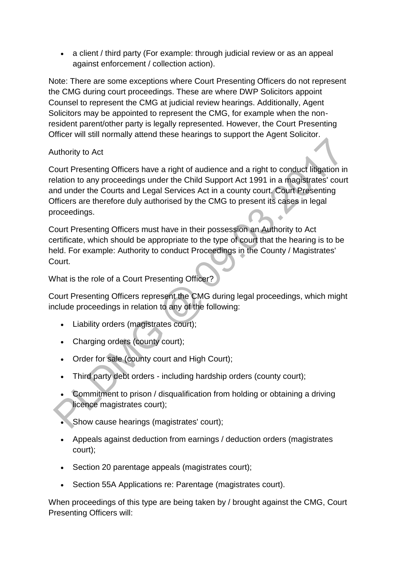• a client / third party (For example: through judicial review or as an appeal against enforcement / collection action).

Note: There are some exceptions where Court Presenting Officers do not represent the CMG during court proceedings. These are where DWP Solicitors appoint Counsel to represent the CMG at judicial review hearings. Additionally, Agent Solicitors may be appointed to represent the CMG, for example when the nonresident parent/other party is legally represented. However, the Court Presenting Officer will still normally attend these hearings to support the Agent Solicitor.

### Authority to Act

Court Presenting Officers have a right of audience and a right to conduct litigation in relation to any proceedings under the Child Support Act 1991 in a magistrates' court and under the Courts and Legal Services Act in a county court. Court Presenting Officers are therefore duly authorised by the CMG to present its cases in legal proceedings.  $\ddot{\phantom{0}}$ 

Court Presenting Officers must have in their possession an Authority to Act certificate, which should be appropriate to the type of court that the hearing is to be held. For example: Authority to conduct Proceedings in the County / Magistrates' Court.

What is the role of a Court Presenting Officer?

Court Presenting Officers represent the CMG during legal proceedings, which might include proceedings in relation to any of the following:

- Liability orders (magistrates court);
- Charging orders (county court);
- Order for sale (county court and High Court);
- Third party debt orders including hardship orders (county court);
- Commitment to prison / disqualification from holding or obtaining a driving licence magistrates court);
- Show cause hearings (magistrates' court);
- Appeals against deduction from earnings / deduction orders (magistrates court);
- Section 20 parentage appeals (magistrates court);
- Section 55A Applications re: Parentage (magistrates court).

When proceedings of this type are being taken by / brought against the CMG, Court Presenting Officers will: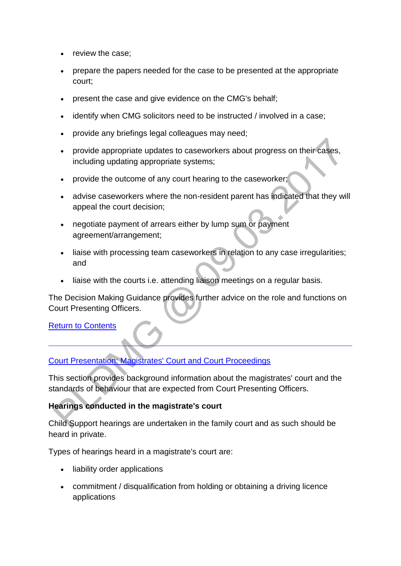- review the case;
- prepare the papers needed for the case to be presented at the appropriate court;
- present the case and give evidence on the CMG's behalf;
- identify when CMG solicitors need to be instructed / involved in a case;
- provide any briefings legal colleagues may need;
- provide appropriate updates to caseworkers about progress on their cases, including updating appropriate systems;
- provide the outcome of any court hearing to the caseworker;
- advise caseworkers where the non-resident parent has indicated that they will appeal the court decision;
- negotiate payment of arrears either by lump sum or payment agreement/arrangement;
- liaise with processing team caseworkers in relation to any case irregularities; and
- liaise with the courts i.e. attending liaison meetings on a regular basis.

The Decision Making Guidance provides further advice on the role and functions on Court Presenting Officers.

#### [Return to Contents](http://np-cmg-sharepoint.link2.gpn.gov.uk/sites/policy-law-and-decision-making-guidance/Pages/Legal%20Enforcement%20-%20England%20and%20Wales/Court-Proceedings-and-Presentation.aspx#Contents)

# [Court Presentation: Magistrates' Court and Court Proceedings](http://np-cmg-sharepoint.link2.gpn.gov.uk/sites/policy-law-and-decision-making-guidance/Pages/Legal%20Enforcement%20-%20England%20and%20Wales/Court-Proceedings-and-Presentation.aspx)

This section provides background information about the magistrates' court and the standards of behaviour that are expected from Court Presenting Officers.

#### **Hearings conducted in the magistrate's court**

Child Support hearings are undertaken in the family court and as such should be heard in private.

Types of hearings heard in a magistrate's court are:

- liability order applications
- commitment / disqualification from holding or obtaining a driving licence applications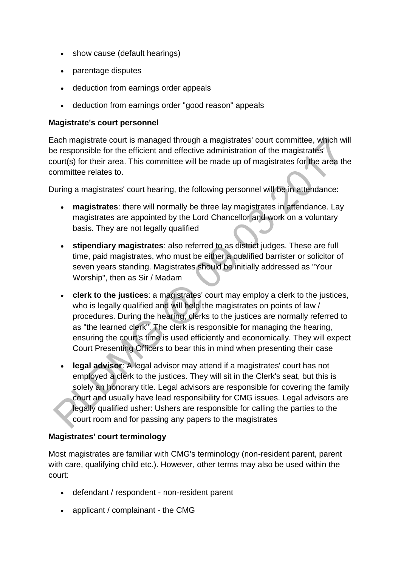- show cause (default hearings)
- parentage disputes
- deduction from earnings order appeals
- deduction from earnings order "good reason" appeals

#### **Magistrate's court personnel**

Each magistrate court is managed through a magistrates' court committee, which will be responsible for the efficient and effective administration of the magistrates' court(s) for their area. This committee will be made up of magistrates for the area the committee relates to.

During a magistrates' court hearing, the following personnel will be in attendance:

- **magistrates**: there will normally be three lay magistrates in attendance. Lay magistrates are appointed by the Lord Chancellor and work on a voluntary basis. They are not legally qualified
- **stipendiary magistrates**: also referred to as district judges. These are full time, paid magistrates, who must be either a qualified barrister or solicitor of seven years standing. Magistrates should be initially addressed as "Your Worship", then as Sir / Madam
- **clerk to the justices**: a magistrates' court may employ a clerk to the justices, who is legally qualified and will help the magistrates on points of law / procedures. During the hearing, clerks to the justices are normally referred to as "the learned clerk". The clerk is responsible for managing the hearing, ensuring the court's time is used efficiently and economically. They will expect Court Presenting Officers to bear this in mind when presenting their case
- **legal advisor**: A legal advisor may attend if a magistrates' court has not employed a clerk to the justices. They will sit in the Clerk's seat, but this is solely an honorary title. Legal advisors are responsible for covering the family court and usually have lead responsibility for CMG issues. Legal advisors are legally qualified usher: Ushers are responsible for calling the parties to the court room and for passing any papers to the magistrates

# **Magistrates' court terminology**

Most magistrates are familiar with CMG's terminology (non-resident parent, parent with care, qualifying child etc.). However, other terms may also be used within the court:

- defendant / respondent non-resident parent
- applicant / complainant the CMG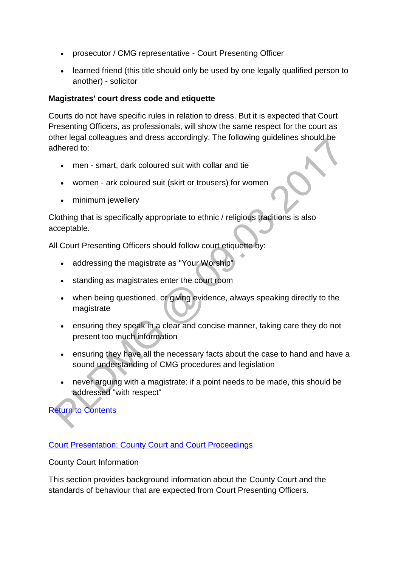- prosecutor / CMG representative Court Presenting Officer
- learned friend (this title should only be used by one legally qualified person to another) - solicitor

#### **Magistrates' court dress code and etiquette**

Courts do not have specific rules in relation to dress. But it is expected that Court Presenting Officers, as professionals, will show the same respect for the court as other legal colleagues and dress accordingly. The following guidelines should be adhered to:

- men smart, dark coloured suit with collar and tie
- women ark coloured suit (skirt or trousers) for women
- minimum jewellery

Clothing that is specifically appropriate to ethnic / religious traditions is also acceptable.

All Court Presenting Officers should follow court etiquette by:

- addressing the magistrate as "Your Worship"
- standing as magistrates enter the court room
- when being questioned, or giving evidence, always speaking directly to the magistrate
- ensuring they speak in a clear and concise manner, taking care they do not present too much information
- ensuring they have all the necessary facts about the case to hand and have a sound understanding of CMG procedures and legislation
- never arguing with a magistrate: if a point needs to be made, this should be addressed "with respect"

[Return to Contents](http://np-cmg-sharepoint.link2.gpn.gov.uk/sites/policy-law-and-decision-making-guidance/Pages/Legal%20Enforcement%20-%20England%20and%20Wales/Court-Proceedings-and-Presentation.aspx#Contents)

[Court Presentation: County Court and Court Proceedings](http://np-cmg-sharepoint.link2.gpn.gov.uk/sites/policy-law-and-decision-making-guidance/Pages/Legal%20Enforcement%20-%20England%20and%20Wales)

County Court Information

This section provides background information about the County Court and the standards of behaviour that are expected from Court Presenting Officers.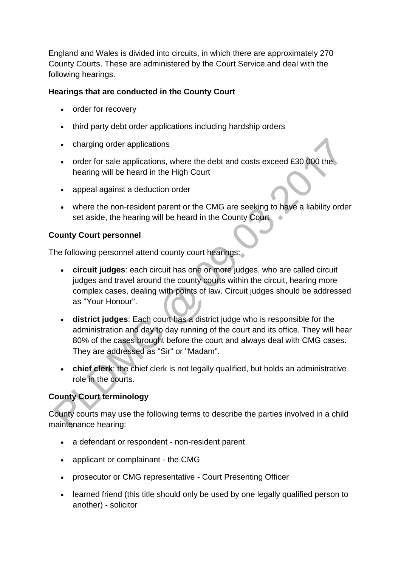England and Wales is divided into circuits, in which there are approximately 270 County Courts. These are administered by the Court Service and deal with the following hearings.

### **Hearings that are conducted in the County Court**

- order for recovery
- third party debt order applications including hardship orders
- charging order applications
- order for sale applications, where the debt and costs exceed £30,000 the hearing will be heard in the High Court
- appeal against a deduction order
- where the non-resident parent or the CMG are seeking to have a liability order set aside, the hearing will be heard in the County Court

### **County Court personnel**

The following personnel attend county court hearings:

- **circuit judges**: each circuit has one or more judges, who are called circuit judges and travel around the county courts within the circuit, hearing more complex cases, dealing with points of law. Circuit judges should be addressed as "Your Honour".
- **district judges**: Each court has a district judge who is responsible for the administration and day to day running of the court and its office. They will hear 80% of the cases brought before the court and always deal with CMG cases. They are addressed as "Sir" or "Madam".
- **chief clerk**: the chief clerk is not legally qualified, but holds an administrative role in the courts.

# **County Court terminology**

County courts may use the following terms to describe the parties involved in a child maintenance hearing:

- a defendant or respondent non-resident parent
- applicant or complainant the CMG
- prosecutor or CMG representative Court Presenting Officer
- learned friend (this title should only be used by one legally qualified person to another) - solicitor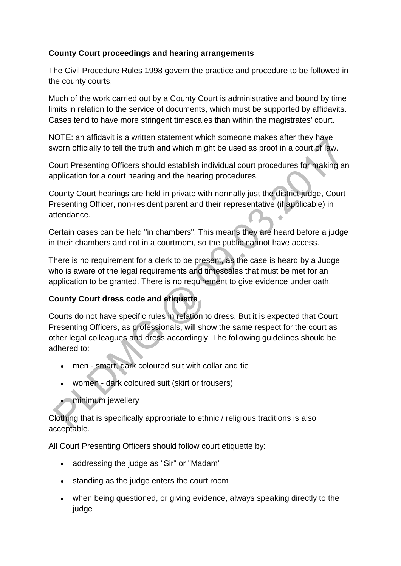### **County Court proceedings and hearing arrangements**

The Civil Procedure Rules 1998 govern the practice and procedure to be followed in the county courts.

Much of the work carried out by a County Court is administrative and bound by time limits in relation to the service of documents, which must be supported by affidavits. Cases tend to have more stringent timescales than within the magistrates' court.

NOTE: an affidavit is a written statement which someone makes after they have sworn officially to tell the truth and which might be used as proof in a court of law.

Court Presenting Officers should establish individual court procedures for making an application for a court hearing and the hearing procedures.

County Court hearings are held in private with normally just the district judge, Court Presenting Officer, non-resident parent and their representative (if applicable) in attendance. ä

Certain cases can be held "in chambers". This means they are heard before a judge in their chambers and not in a courtroom, so the public cannot have access.

There is no requirement for a clerk to be present, as the case is heard by a Judge who is aware of the legal requirements and timescales that must be met for an application to be granted. There is no requirement to give evidence under oath.

# **County Court dress code and etiquette**

Courts do not have specific rules in relation to dress. But it is expected that Court Presenting Officers, as professionals, will show the same respect for the court as other legal colleagues and dress accordingly. The following guidelines should be adhered to:

- men smart, dark coloured suit with collar and tie
- women dark coloured suit (skirt or trousers)
- **•** minimum jewellery

Clothing that is specifically appropriate to ethnic / religious traditions is also acceptable.

All Court Presenting Officers should follow court etiquette by:

- addressing the judge as "Sir" or "Madam"
- standing as the judge enters the court room
- when being questioned, or giving evidence, always speaking directly to the judge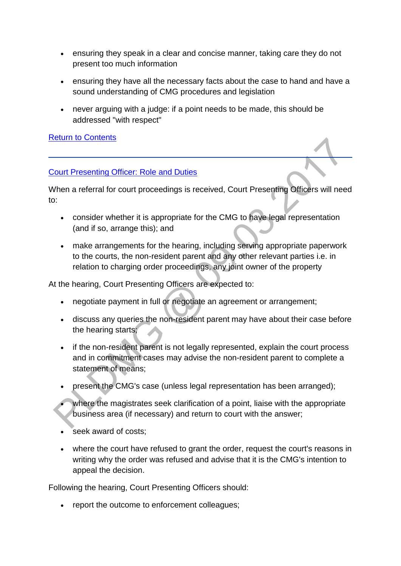- ensuring they speak in a clear and concise manner, taking care they do not present too much information
- ensuring they have all the necessary facts about the case to hand and have a sound understanding of CMG procedures and legislation
- never arguing with a judge: if a point needs to be made, this should be addressed "with respect"

#### [Return to Contents](http://np-cmg-sharepoint.link2.gpn.gov.uk/sites/policy-law-and-decision-making-guidance/Pages/Legal%20Enforcement%20-%20England%20and%20Wales/Court-Proceedings-and-Presentation.aspx#Contents)

#### [Court Presenting Officer: Role and Duties](http://np-cmg-sharepoint.link2.gpn.gov.uk/sites/policy-law-and-decision-making-guidance/Pages/Legal%20Enforcement%20-%20England%20and%20Wales)

When a referral for court proceedings is received, Court Presenting Officers will need to:

- consider whether it is appropriate for the CMG to have legal representation (and if so, arrange this); and
- make arrangements for the hearing, including serving appropriate paperwork to the courts, the non-resident parent and any other relevant parties i.e. in relation to charging order proceedings, any joint owner of the property

At the hearing, Court Presenting Officers are expected to:

- negotiate payment in full or negotiate an agreement or arrangement;
- discuss any queries the non-resident parent may have about their case before the hearing starts;
- if the non-resident parent is not legally represented, explain the court process and in commitment cases may advise the non-resident parent to complete a statement of means;
- present the CMG's case (unless legal representation has been arranged);
- where the magistrates seek clarification of a point, liaise with the appropriate business area (if necessary) and return to court with the answer;
- seek award of costs;
- where the court have refused to grant the order, request the court's reasons in writing why the order was refused and advise that it is the CMG's intention to appeal the decision.

Following the hearing, Court Presenting Officers should:

• report the outcome to enforcement colleagues;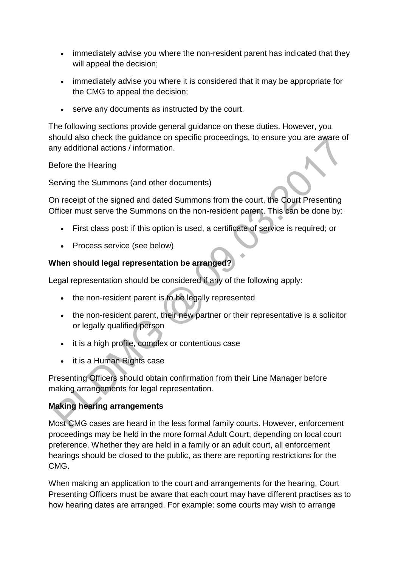- immediately advise you where the non-resident parent has indicated that they will appeal the decision;
- immediately advise you where it is considered that it may be appropriate for the CMG to appeal the decision;
- serve any documents as instructed by the court.

The following sections provide general guidance on these duties. However, you should also check the guidance on specific proceedings, to ensure you are aware of any additional actions / information.

Before the Hearing

Serving the Summons (and other documents)

On receipt of the signed and dated Summons from the court, the Court Presenting Officer must serve the Summons on the non-resident parent. This can be done by:

- First class post: if this option is used, a certificate of service is required; or
- Process service (see below)

# **When should legal representation be arranged?**

Legal representation should be considered if any of the following apply:

- the non-resident parent is to be legally represented
- the non-resident parent, their new partner or their representative is a solicitor or legally qualified person
- it is a high profile, complex or contentious case
- it is a Human Rights case

Presenting Officers should obtain confirmation from their Line Manager before making arrangements for legal representation.

# **Making hearing arrangements**

Most CMG cases are heard in the less formal family courts. However, enforcement proceedings may be held in the more formal Adult Court, depending on local court preference. Whether they are held in a family or an adult court, all enforcement hearings should be closed to the public, as there are reporting restrictions for the CMG.

When making an application to the court and arrangements for the hearing, Court Presenting Officers must be aware that each court may have different practises as to how hearing dates are arranged. For example: some courts may wish to arrange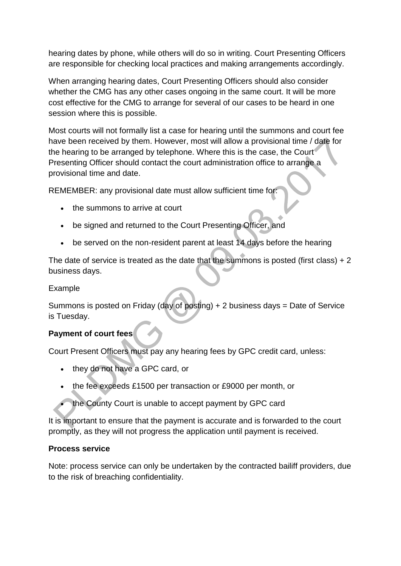hearing dates by phone, while others will do so in writing. Court Presenting Officers are responsible for checking local practices and making arrangements accordingly.

When arranging hearing dates, Court Presenting Officers should also consider whether the CMG has any other cases ongoing in the same court. It will be more cost effective for the CMG to arrange for several of our cases to be heard in one session where this is possible.

Most courts will not formally list a case for hearing until the summons and court fee have been received by them. However, most will allow a provisional time / date for the hearing to be arranged by telephone. Where this is the case, the Court Presenting Officer should contact the court administration office to arrange a provisional time and date.

REMEMBER: any provisional date must allow sufficient time for:

- the summons to arrive at court
- be signed and returned to the Court Presenting Officer, and
- be served on the non-resident parent at least 14 days before the hearing

The date of service is treated as the date that the summons is posted (first class)  $+2$ business days.

### Example

Summons is posted on Friday (day of posting) + 2 business days = Date of Service is Tuesday.

# **Payment of court fees**

Court Present Officers must pay any hearing fees by GPC credit card, unless:

- they do not have a GPC card, or
- the fee exceeds £1500 per transaction or £9000 per month, or
- the County Court is unable to accept payment by GPC card

It is important to ensure that the payment is accurate and is forwarded to the court promptly, as they will not progress the application until payment is received.

#### **Process service**

Note: process service can only be undertaken by the contracted bailiff providers, due to the risk of breaching confidentiality.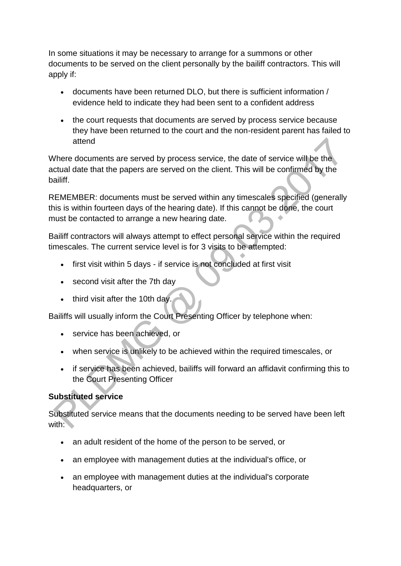In some situations it may be necessary to arrange for a summons or other documents to be served on the client personally by the bailiff contractors. This will apply if:

- documents have been returned DLO, but there is sufficient information / evidence held to indicate they had been sent to a confident address
- the court requests that documents are served by process service because they have been returned to the court and the non-resident parent has failed to attend

Where documents are served by process service, the date of service will be the actual date that the papers are served on the client. This will be confirmed by the bailiff.

REMEMBER: documents must be served within any timescales specified (generally this is within fourteen days of the hearing date). If this cannot be done, the court must be contacted to arrange a new hearing date.

Bailiff contractors will always attempt to effect personal service within the required timescales. The current service level is for 3 visits to be attempted:

- first visit within 5 days if service is not concluded at first visit
- second visit after the 7th day
- $\bullet$  third visit after the 10th day.

Bailiffs will usually inform the Court Presenting Officer by telephone when:

- service has been achieved, or
- when service is unlikely to be achieved within the required timescales, or
- if service has been achieved, bailiffs will forward an affidavit confirming this to the Court Presenting Officer

# **Substituted service**

Substituted service means that the documents needing to be served have been left with: $\bullet$ 

- an adult resident of the home of the person to be served, or
- an employee with management duties at the individual's office, or
- an employee with management duties at the individual's corporate headquarters, or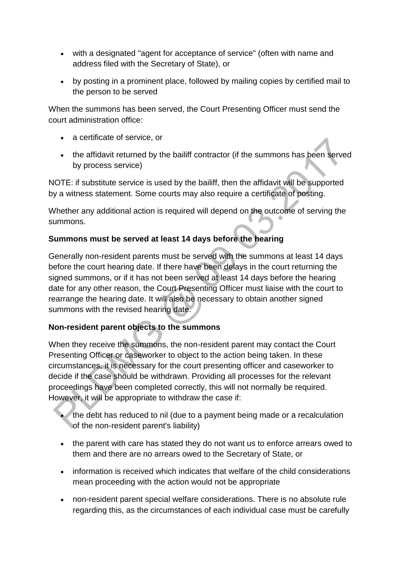- with a designated "agent for acceptance of service" (often with name and address filed with the Secretary of State), or
- by posting in a prominent place, followed by mailing copies by certified mail to the person to be served

When the summons has been served, the Court Presenting Officer must send the court administration office:

- a certificate of service, or
- the affidavit returned by the bailiff contractor (if the summons has been served by process service)

NOTE: if substitute service is used by the bailiff, then the affidavit will be supported by a witness statement. Some courts may also require a certificate of posting.

Whether any additional action is required will depend on the outcome of serving the summons.

# **Summons must be served at least 14 days before the hearing**

Generally non-resident parents must be served with the summons at least 14 days before the court hearing date. If there have been delays in the court returning the signed summons, or if it has not been served at least 14 days before the hearing date for any other reason, the Court Presenting Officer must liaise with the court to rearrange the hearing date. It will also be necessary to obtain another signed summons with the revised hearing date.

# **Non-resident parent objects to the summons**

When they receive the summons, the non-resident parent may contact the Court Presenting Officer or caseworker to object to the action being taken. In these circumstances, it is necessary for the court presenting officer and caseworker to decide if the case should be withdrawn. Providing all processes for the relevant proceedings have been completed correctly, this will not normally be required. However, it will be appropriate to withdraw the case if:

- the debt has reduced to nil (due to a payment being made or a recalculation of the non-resident parent's liability)
- the parent with care has stated they do not want us to enforce arrears owed to them and there are no arrears owed to the Secretary of State, or
- information is received which indicates that welfare of the child considerations mean proceeding with the action would not be appropriate
- non-resident parent special welfare considerations. There is no absolute rule regarding this, as the circumstances of each individual case must be carefully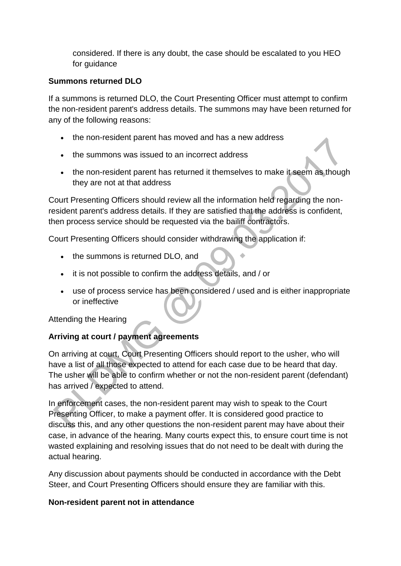considered. If there is any doubt, the case should be escalated to you HEO for guidance

### **Summons returned DLO**

If a summons is returned DLO, the Court Presenting Officer must attempt to confirm the non-resident parent's address details. The summons may have been returned for any of the following reasons:

- the non-resident parent has moved and has a new address
- the summons was issued to an incorrect address
- the non-resident parent has returned it themselves to make it seem as though they are not at that address

Court Presenting Officers should review all the information held regarding the nonresident parent's address details. If they are satisfied that the address is confident, then process service should be requested via the bailiff contractors.

Court Presenting Officers should consider withdrawing the application if:

- the summons is returned DLO, and
- it is not possible to confirm the address details, and / or
- use of process service has been considered / used and is either inappropriate or ineffective

Attending the Hearing

# **Arriving at court / payment agreements**

On arriving at court, Court Presenting Officers should report to the usher, who will have a list of all those expected to attend for each case due to be heard that day. The usher will be able to confirm whether or not the non-resident parent (defendant) has arrived / expected to attend.

In enforcement cases, the non-resident parent may wish to speak to the Court Presenting Officer, to make a payment offer. It is considered good practice to discuss this, and any other questions the non-resident parent may have about their case, in advance of the hearing. Many courts expect this, to ensure court time is not wasted explaining and resolving issues that do not need to be dealt with during the actual hearing.

Any discussion about payments should be conducted in accordance with the Debt Steer, and Court Presenting Officers should ensure they are familiar with this.

#### **Non-resident parent not in attendance**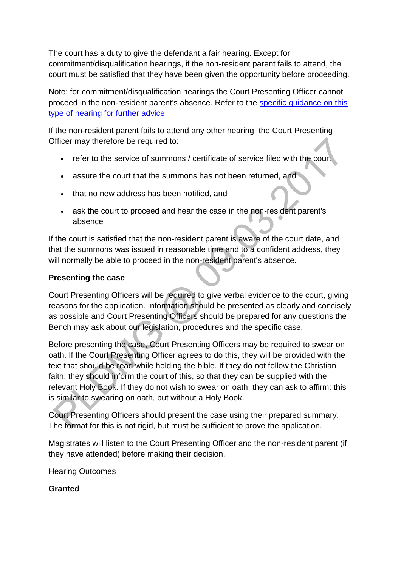The court has a duty to give the defendant a fair hearing. Except for commitment/disqualification hearings, if the non-resident parent fails to attend, the court must be satisfied that they have been given the opportunity before proceeding.

Note: for commitment/disqualification hearings the Court Presenting Officer cannot proceed in the non-resident parent's absence. Refer to the [specific guidance on this](http://np-cmg-sharepoint.link2.gpn.gov.uk/sites/policy-law-and-decision-making-guidance/Pages/Legal%20Enforcement%20-%20England%20and%20Wales/Sanctions.aspx#comdisqsdmg)  [type of hearing for further advice.](http://np-cmg-sharepoint.link2.gpn.gov.uk/sites/policy-law-and-decision-making-guidance/Pages/Legal%20Enforcement%20-%20England%20and%20Wales/Sanctions.aspx#comdisqsdmg)

If the non-resident parent fails to attend any other hearing, the Court Presenting Officer may therefore be required to:

- refer to the service of summons / certificate of service filed with the court
- assure the court that the summons has not been returned, and
- that no new address has been notified, and
- ask the court to proceed and hear the case in the non-resident parent's absence

If the court is satisfied that the non-resident parent is aware of the court date, and that the summons was issued in reasonable time and to a confident address, they will normally be able to proceed in the non-resident parent's absence.

#### **Presenting the case**

Court Presenting Officers will be required to give verbal evidence to the court, giving reasons for the application. Information should be presented as clearly and concisely as possible and Court Presenting Officers should be prepared for any questions the Bench may ask about our legislation, procedures and the specific case.

Before presenting the case, Court Presenting Officers may be required to swear on oath. If the Court Presenting Officer agrees to do this, they will be provided with the text that should be read while holding the bible. If they do not follow the Christian faith, they should inform the court of this, so that they can be supplied with the relevant Holy Book. If they do not wish to swear on oath, they can ask to affirm: this is similar to swearing on oath, but without a Holy Book.

Court Presenting Officers should present the case using their prepared summary. The format for this is not rigid, but must be sufficient to prove the application.

Magistrates will listen to the Court Presenting Officer and the non-resident parent (if they have attended) before making their decision.

Hearing Outcomes

#### **Granted**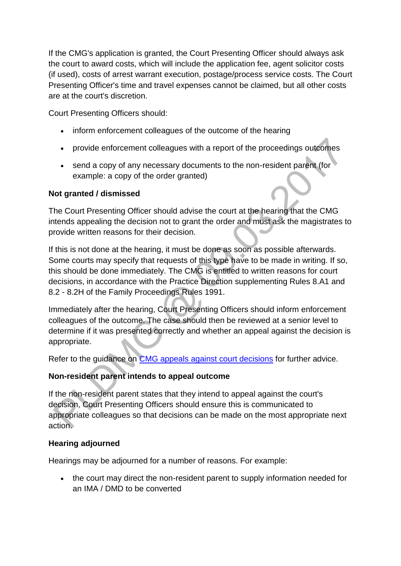If the CMG's application is granted, the Court Presenting Officer should always ask the court to award costs, which will include the application fee, agent solicitor costs (if used), costs of arrest warrant execution, postage/process service costs. The Court Presenting Officer's time and travel expenses cannot be claimed, but all other costs are at the court's discretion.

Court Presenting Officers should:

- inform enforcement colleagues of the outcome of the hearing
- provide enforcement colleagues with a report of the proceedings outcomes
- send a copy of any necessary documents to the non-resident parent (for example: a copy of the order granted)

#### **Not granted / dismissed**

The Court Presenting Officer should advise the court at the hearing that the CMG intends appealing the decision not to grant the order and must ask the magistrates to provide written reasons for their decision.

If this is not done at the hearing, it must be done as soon as possible afterwards. Some courts may specify that requests of this type have to be made in writing. If so, this should be done immediately. The CMG is entitled to written reasons for court decisions, in accordance with the Practice Direction supplementing Rules 8.A1 and 8.2 - 8.2H of the Family Proceedings Rules 1991.

Immediately after the hearing, Court Presenting Officers should inform enforcement colleagues of the outcome. The case should then be reviewed at a senior level to determine if it was presented correctly and whether an appeal against the decision is appropriate.

Refer to the guidance on [CMG appeals against court decisions](http://np-cmg-sharepoint.link2.gpn.gov.uk/sites/policy-law-and-decision-making-guidance/Pages/Legal%20Enforcement%20-%20England%20and%20Wales/Commission-appeals-against-court-decisions.aspx) for further advice.

#### **Non-resident parent intends to appeal outcome**

If the non-resident parent states that they intend to appeal against the court's decision, Court Presenting Officers should ensure this is communicated to appropriate colleagues so that decisions can be made on the most appropriate next action.

#### **Hearing adjourned**

Hearings may be adjourned for a number of reasons. For example:

• the court may direct the non-resident parent to supply information needed for an IMA / DMD to be converted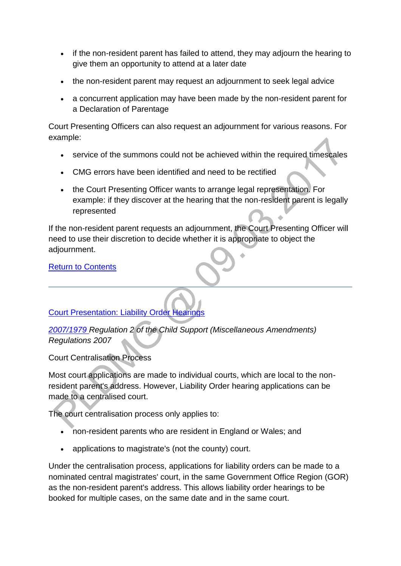- if the non-resident parent has failed to attend, they may adjourn the hearing to give them an opportunity to attend at a later date
- the non-resident parent may request an adjournment to seek legal advice
- a concurrent application may have been made by the non-resident parent for a Declaration of Parentage

Court Presenting Officers can also request an adjournment for various reasons. For example:

- service of the summons could not be achieved within the required timescales
- CMG errors have been identified and need to be rectified
- the Court Presenting Officer wants to arrange legal representation. For example: if they discover at the hearing that the non-resident parent is legally represented

If the non-resident parent requests an adjournment, the Court Presenting Officer will need to use their discretion to decide whether it is appropriate to object the adjournment.

[Return to Contents](http://np-cmg-sharepoint.link2.gpn.gov.uk/sites/policy-law-and-decision-making-guidance/Pages/Legal%20Enforcement%20-%20England%20and%20Wales/Court-Proceedings-and-Presentation.aspx#Contents)

[Court Presentation: Liability Order Hearings](http://np-cmg-sharepoint.link2.gpn.gov.uk/sites/policy-law-and-decision-making-guidance/Pages/Legal%20Enforcement%20-%20England%20and%20Wales)

*[2007/1979 R](http://www.legislation.gov.uk/uksi/2007/1979/contents/made)egulation 2 of the Child Support (Miscellaneous Amendments) Regulations 2007* 

Court Centralisation Process

Most court applications are made to individual courts, which are local to the nonresident parent's address. However, Liability Order hearing applications can be made to a centralised court.

The court centralisation process only applies to:

- non-resident parents who are resident in England or Wales; and
- applications to magistrate's (not the county) court.

Under the centralisation process, applications for liability orders can be made to a nominated central magistrates' court, in the same Government Office Region (GOR) as the non-resident parent's address. This allows liability order hearings to be booked for multiple cases, on the same date and in the same court.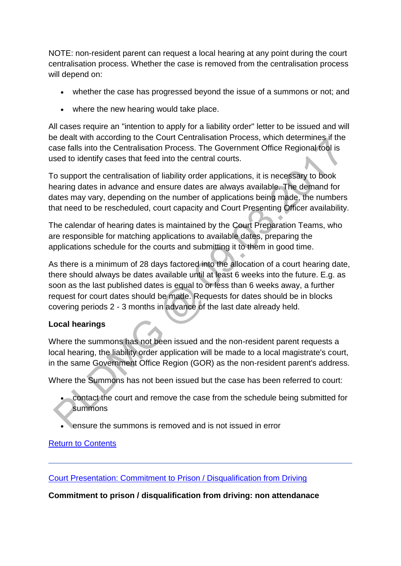NOTE: non-resident parent can request a local hearing at any point during the court centralisation process. Whether the case is removed from the centralisation process will depend on:

- whether the case has progressed beyond the issue of a summons or not; and
- where the new hearing would take place.

All cases require an "intention to apply for a liability order" letter to be issued and will be dealt with according to the Court Centralisation Process, which determines if the case falls into the Centralisation Process. The Government Office Regional tool is used to identify cases that feed into the central courts.

To support the centralisation of liability order applications, it is necessary to book hearing dates in advance and ensure dates are always available. The demand for dates may vary, depending on the number of applications being made, the numbers that need to be rescheduled, court capacity and Court Presenting Officer availability.

The calendar of hearing dates is maintained by the Court Preparation Teams, who are responsible for matching applications to available dates, preparing the applications schedule for the courts and submitting it to them in good time.

As there is a minimum of 28 days factored into the allocation of a court hearing date, there should always be dates available until at least 6 weeks into the future. E.g. as soon as the last published dates is equal to or less than 6 weeks away, a further request for court dates should be made. Requests for dates should be in blocks covering periods 2 - 3 months in advance of the last date already held.

# **Local hearings**

Where the summons has not been issued and the non-resident parent requests a local hearing, the liability order application will be made to a local magistrate's court, in the same Government Office Region (GOR) as the non-resident parent's address.

Where the Summons has not been issued but the case has been referred to court:

- contact the court and remove the case from the schedule being submitted for summons
- ensure the summons is removed and is not issued in error

#### [Return to Contents](http://np-cmg-sharepoint.link2.gpn.gov.uk/sites/policy-law-and-decision-making-guidance/Pages/Legal%20Enforcement%20-%20England%20and%20Wales/Court-Proceedings-and-Presentation.aspx#Contents)

[Court Presentation: Commitment to Prison / Disqualification from Driving](http://np-cmg-sharepoint.link2.gpn.gov.uk/sites/policy-law-and-decision-making-guidance/Pages/Legal%20Enforcement%20-%20England%20and%20Wales) 

**Commitment to prison / disqualification from driving: non attendanace**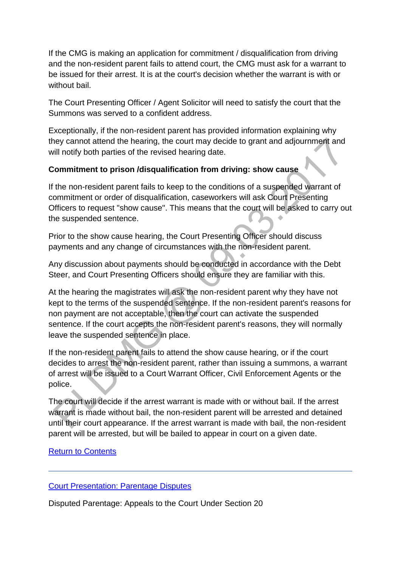If the CMG is making an application for commitment / disqualification from driving and the non-resident parent fails to attend court, the CMG must ask for a warrant to be issued for their arrest. It is at the court's decision whether the warrant is with or without bail.

The Court Presenting Officer / Agent Solicitor will need to satisfy the court that the Summons was served to a confident address.

Exceptionally, if the non-resident parent has provided information explaining why they cannot attend the hearing, the court may decide to grant and adjournment and will notify both parties of the revised hearing date.

### **Commitment to prison /disqualification from driving: show cause**

If the non-resident parent fails to keep to the conditions of a suspended warrant of commitment or order of disqualification, caseworkers will ask Court Presenting Officers to request "show cause". This means that the court will be asked to carry out the suspended sentence.

Prior to the show cause hearing, the Court Presenting Officer should discuss payments and any change of circumstances with the non-resident parent.

Any discussion about payments should be conducted in accordance with the Debt Steer, and Court Presenting Officers should ensure they are familiar with this.

At the hearing the magistrates will ask the non-resident parent why they have not kept to the terms of the suspended sentence. If the non-resident parent's reasons for non payment are not acceptable, then the court can activate the suspended sentence. If the court accepts the non-resident parent's reasons, they will normally leave the suspended sentence in place.

If the non-resident parent fails to attend the show cause hearing, or if the court decides to arrest the non-resident parent, rather than issuing a summons, a warrant of arrest will be issued to a Court Warrant Officer, Civil Enforcement Agents or the police.

The court will decide if the arrest warrant is made with or without bail. If the arrest warrant is made without bail, the non-resident parent will be arrested and detained until their court appearance. If the arrest warrant is made with bail, the non-resident parent will be arrested, but will be bailed to appear in court on a given date.

#### **[Return to Contents](http://np-cmg-sharepoint.link2.gpn.gov.uk/sites/policy-law-and-decision-making-guidance/Pages/Legal%20Enforcement%20-%20England%20and%20Wales/Court-Proceedings-and-Presentation.aspx#Contents)**

#### [Court Presentation: Parentage Disputes](http://np-cmg-sharepoint.link2.gpn.gov.uk/sites/policy-law-and-decision-making-guidance/Pages/Legal%20Enforcement%20-%20England%20and%20Wales/Court-Proceedings-and-Presentation.aspx)

Disputed Parentage: Appeals to the Court Under Section 20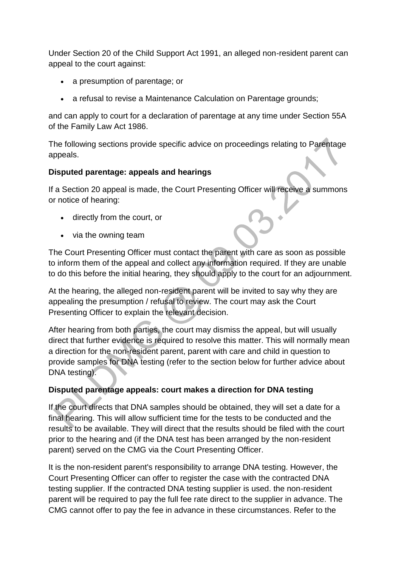Under Section 20 of the Child Support Act 1991, an alleged non-resident parent can appeal to the court against:

- a presumption of parentage; or
- a refusal to revise a Maintenance Calculation on Parentage grounds;

and can apply to court for a declaration of parentage at any time under Section 55A of the Family Law Act 1986.

The following sections provide specific advice on proceedings relating to Parentage appeals.

### **Disputed parentage: appeals and hearings**

If a Section 20 appeal is made, the Court Presenting Officer will receive a summons or notice of hearing:

- directly from the court, or
- via the owning team

The Court Presenting Officer must contact the parent with care as soon as possible to inform them of the appeal and collect any information required. If they are unable to do this before the initial hearing, they should apply to the court for an adjournment.

At the hearing, the alleged non-resident parent will be invited to say why they are appealing the presumption / refusal to review. The court may ask the Court Presenting Officer to explain the relevant decision.

After hearing from both parties, the court may dismiss the appeal, but will usually direct that further evidence is required to resolve this matter. This will normally mean a direction for the non-resident parent, parent with care and child in question to provide samples for DNA testing (refer to the section below for further advice about DNA testing).

# **Disputed parentage appeals: court makes a direction for DNA testing**

If the court directs that DNA samples should be obtained, they will set a date for a final hearing. This will allow sufficient time for the tests to be conducted and the results to be available. They will direct that the results should be filed with the court prior to the hearing and (if the DNA test has been arranged by the non-resident parent) served on the CMG via the Court Presenting Officer.

It is the non-resident parent's responsibility to arrange DNA testing. However, the Court Presenting Officer can offer to register the case with the contracted DNA testing supplier. If the contracted DNA testing supplier is used. the non-resident parent will be required to pay the full fee rate direct to the supplier in advance. The CMG cannot offer to pay the fee in advance in these circumstances. Refer to the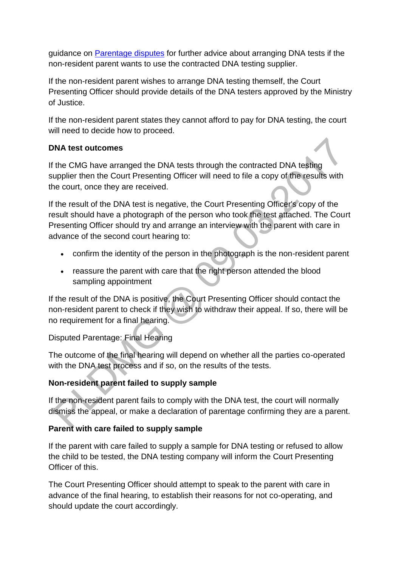guidance on [Parentage disputes](http://np-cmg-sharepoint.link2.gpn.gov.uk/sites/policy-law-and-decision-making-guidance/Pages/Parentage/Parentage-disputes.aspx) for further advice about arranging DNA tests if the non-resident parent wants to use the contracted DNA testing supplier.

If the non-resident parent wishes to arrange DNA testing themself, the Court Presenting Officer should provide details of the DNA testers approved by the Ministry of Justice.

If the non-resident parent states they cannot afford to pay for DNA testing, the court will need to decide how to proceed.

### **DNA test outcomes**

If the CMG have arranged the DNA tests through the contracted DNA testing supplier then the Court Presenting Officer will need to file a copy of the results with the court, once they are received.

If the result of the DNA test is negative, the Court Presenting Officer's copy of the result should have a photograph of the person who took the test attached. The Court Presenting Officer should try and arrange an interview with the parent with care in advance of the second court hearing to:

- confirm the identity of the person in the photograph is the non-resident parent
- reassure the parent with care that the right person attended the blood sampling appointment

If the result of the DNA is positive, the Court Presenting Officer should contact the non-resident parent to check if they wish to withdraw their appeal. If so, there will be no requirement for a final hearing.

Disputed Parentage: Final Hearing

The outcome of the final hearing will depend on whether all the parties co-operated with the DNA test process and if so, on the results of the tests.

# **Non-resident parent failed to supply sample**

If the non-resident parent fails to comply with the DNA test, the court will normally dismiss the appeal, or make a declaration of parentage confirming they are a parent.

# **Parent with care failed to supply sample**

If the parent with care failed to supply a sample for DNA testing or refused to allow the child to be tested, the DNA testing company will inform the Court Presenting Officer of this.

The Court Presenting Officer should attempt to speak to the parent with care in advance of the final hearing, to establish their reasons for not co-operating, and should update the court accordingly.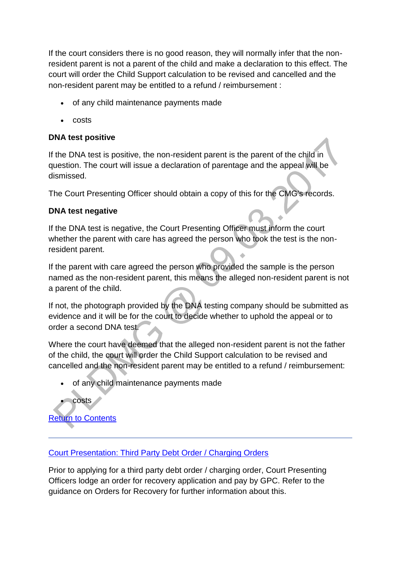If the court considers there is no good reason, they will normally infer that the nonresident parent is not a parent of the child and make a declaration to this effect. The court will order the Child Support calculation to be revised and cancelled and the non-resident parent may be entitled to a refund / reimbursement :

- of any child maintenance payments made
- costs

# **DNA test positive**

If the DNA test is positive, the non-resident parent is the parent of the child in question. The court will issue a declaration of parentage and the appeal will be dismissed.

The Court Presenting Officer should obtain a copy of this for the CMG's records.

# **DNA test negative**

If the DNA test is negative, the Court Presenting Officer must inform the court whether the parent with care has agreed the person who took the test is the nonresident parent.

If the parent with care agreed the person who provided the sample is the person named as the non-resident parent, this means the alleged non-resident parent is not a parent of the child.

If not, the photograph provided by the DNA testing company should be submitted as evidence and it will be for the court to decide whether to uphold the appeal or to order a second DNA test.

Where the court have deemed that the alleged non-resident parent is not the father of the child, the court will order the Child Support calculation to be revised and cancelled and the non-resident parent may be entitled to a refund / reimbursement:

of any child maintenance payments made



costs

[Court Presentation: Third Party Debt Order / Charging Orders](http://np-cmg-sharepoint.link2.gpn.gov.uk/sites/policy-law-and-decision-making-guidance/Pages/Legal%20Enforcement%20-%20England%20and%20Wales/Court-Proceedings-and-Presentation.aspx)

Prior to applying for a third party debt order / charging order, Court Presenting Officers lodge an order for recovery application and pay by GPC. Refer to the guidance on Orders for Recovery for further information about this.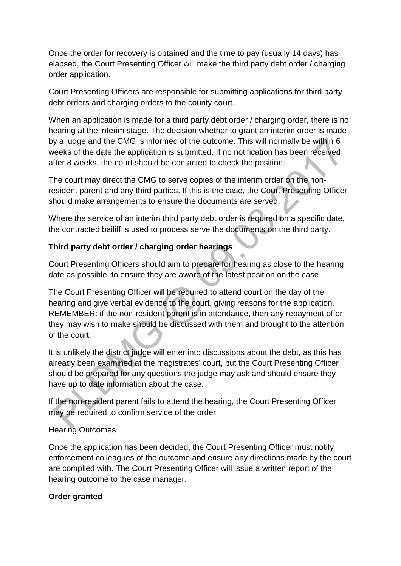Once the order for recovery is obtained and the time to pay (usually 14 days) has elapsed, the Court Presenting Officer will make the third party debt order / charging order application.

Court Presenting Officers are responsible for submitting applications for third party debt orders and charging orders to the county court.

When an application is made for a third party debt order / charging order, there is no hearing at the interim stage. The decision whether to grant an interim order is made by a judge and the CMG is informed of the outcome. This will normally be within 6 weeks of the date the application is submitted. If no notification has been received after 8 weeks, the court should be contacted to check the position.

The court may direct the CMG to serve copies of the interim order on the nonresident parent and any third parties. If this is the case, the Court Presenting Officer should make arrangements to ensure the documents are served.

Where the service of an interim third party debt order is required on a specific date, the contracted bailiff is used to process serve the documents on the third party.

# **Third party debt order / charging order hearings**

Court Presenting Officers should aim to prepare for hearing as close to the hearing date as possible, to ensure they are aware of the latest position on the case.

The Court Presenting Officer will be required to attend court on the day of the hearing and give verbal evidence to the court, giving reasons for the application. REMEMBER: if the non-resident parent is in attendance, then any repayment offer they may wish to make should be discussed with them and brought to the attention of the court.

It is unlikely the district judge will enter into discussions about the debt, as this has already been examined at the magistrates' court, but the Court Presenting Officer should be prepared for any questions the judge may ask and should ensure they have up to date information about the case.

If the non-resident parent fails to attend the hearing, the Court Presenting Officer may be required to confirm service of the order.

# Hearing Outcomes

Once the application has been decided, the Court Presenting Officer must notify enforcement colleagues of the outcome and ensure any directions made by the court are complied with. The Court Presenting Officer will issue a written report of the hearing outcome to the case manager.

# **Order granted**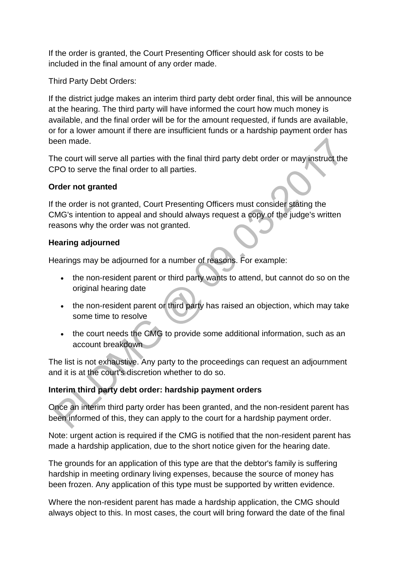If the order is granted, the Court Presenting Officer should ask for costs to be included in the final amount of any order made.

Third Party Debt Orders:

If the district judge makes an interim third party debt order final, this will be announce at the hearing. The third party will have informed the court how much money is available, and the final order will be for the amount requested, if funds are available, or for a lower amount if there are insufficient funds or a hardship payment order has been made.

The court will serve all parties with the final third party debt order or may instruct the CPO to serve the final order to all parties.

### **Order not granted**

If the order is not granted, Court Presenting Officers must consider stating the CMG's intention to appeal and should always request a copy of the judge's written reasons why the order was not granted.

### **Hearing adjourned**

Hearings may be adjourned for a number of reasons. For example:

- the non-resident parent or third party wants to attend, but cannot do so on the original hearing date
- the non-resident parent or third party has raised an objection, which may take some time to resolve
- the court needs the CMG to provide some additional information, such as an account breakdown

The list is not exhaustive. Any party to the proceedings can request an adjournment and it is at the court's discretion whether to do so.

# **Interim third party debt order: hardship payment orders**

Once an interim third party order has been granted, and the non-resident parent has been informed of this, they can apply to the court for a hardship payment order.

Note: urgent action is required if the CMG is notified that the non-resident parent has made a hardship application, due to the short notice given for the hearing date.

The grounds for an application of this type are that the debtor's family is suffering hardship in meeting ordinary living expenses, because the source of money has been frozen. Any application of this type must be supported by written evidence.

Where the non-resident parent has made a hardship application, the CMG should always object to this. In most cases, the court will bring forward the date of the final